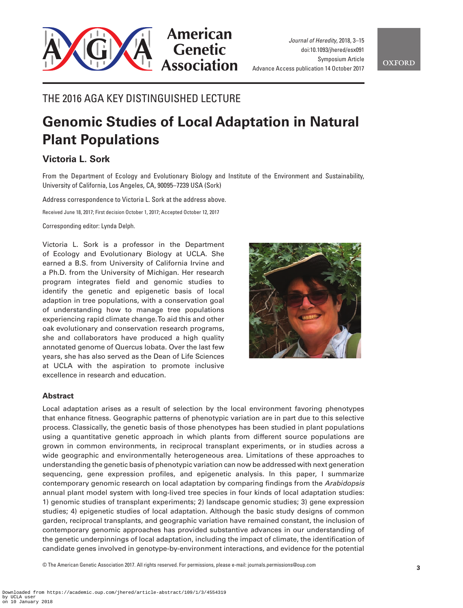

*Journal of Heredity*, 2018, 3–15 doi:10.1093/jhered/esx091 Symposium Article Advance Access publication 14 October 2017

# **OXFORD**

# THE 2016 AGA KEY DISTINGUISHED LECTURE

# **Genomic Studies of Local Adaptation in Natural Plant Populations**

# **Victoria L. Sork**

From the Department of Ecology and Evolutionary Biology and Institute of the Environment and Sustainability, University of California, Los Angeles, CA, 90095–7239 USA (Sork)

Address correspondence to Victoria L. Sork at the address above.

Received June 18, 2017; First decision October 1, 2017; Accepted October 12, 2017

Corresponding editor: Lynda Delph.

Victoria L. Sork is a professor in the Department of Ecology and Evolutionary Biology at UCLA. She earned a B.S. from University of California Irvine and a Ph.D. from the University of Michigan. Her research program integrates field and genomic studies to identify the genetic and epigenetic basis of local adaption in tree populations, with a conservation goal of understanding how to manage tree populations experiencing rapid climate change. To aid this and other oak evolutionary and conservation research programs, she and collaborators have produced a high quality annotated genome of Quercus lobata. Over the last few years, she has also served as the Dean of Life Sciences at UCLA with the aspiration to promote inclusive excellence in research and education.



# **Abstract**

Local adaptation arises as a result of selection by the local environment favoring phenotypes that enhance fitness. Geographic patterns of phenotypic variation are in part due to this selective process. Classically, the genetic basis of those phenotypes has been studied in plant populations using a quantitative genetic approach in which plants from different source populations are grown in common environments, in reciprocal transplant experiments, or in studies across a wide geographic and environmentally heterogeneous area. Limitations of these approaches to understanding the genetic basis of phenotypic variation can now be addressed with next generation sequencing, gene expression profiles, and epigenetic analysis. In this paper, I summarize contemporary genomic research on local adaptation by comparing findings from the *Arabidopsis* annual plant model system with long-lived tree species in four kinds of local adaptation studies: 1) genomic studies of transplant experiments; 2) landscape genomic studies; 3) gene expression studies; 4) epigenetic studies of local adaptation. Although the basic study designs of common garden, reciprocal transplants, and geographic variation have remained constant, the inclusion of contemporary genomic approaches has provided substantive advances in our understanding of the genetic underpinnings of local adaptation, including the impact of climate, the identification of candidate genes involved in genotype-by-environment interactions, and evidence for the potential

© The American Genetic Association 2017. All rights reserved. For permissions, please e-mail: journals.permissions@oup.com **<sup>3</sup>**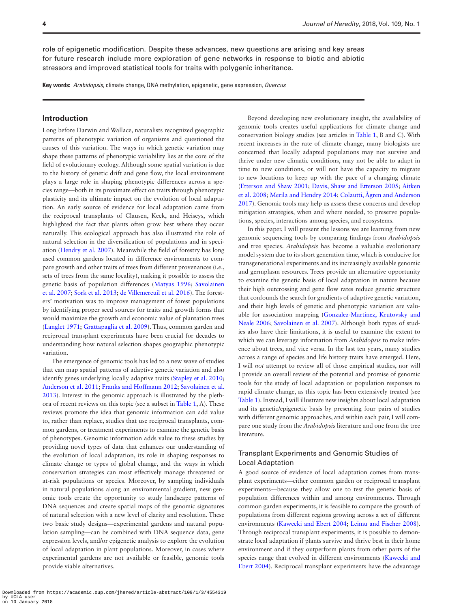role of epigenetic modification. Despite these advances, new questions are arising and key areas for future research include more exploration of gene networks in response to biotic and abiotic stressors and improved statistical tools for traits with polygenic inheritance.

**Key words:** *Arabidopsis*, climate change, DNA methylation, epigenetic, gene expression, *Quercus*

# **Introduction**

Long before Darwin and Wallace, naturalists recognized geographic patterns of phenotypic variation of organisms and questioned the causes of this variation. The ways in which genetic variation may shape these patterns of phenotypic variability lies at the core of the field of evolutionary ecology. Although some spatial variation is due to the history of genetic drift and gene flow, the local environment plays a large role in shaping phenotypic differences across a species range—both in its proximate effect on traits through phenotypic plasticity and its ultimate impact on the evolution of local adaptation. An early source of evidence for local adaptation came from the reciprocal transplants of Clausen, Keck, and Heiseys, which highlighted the fact that plants often grow best where they occur naturally. This ecological approach has also illustrated the role of natural selection in the diversification of populations and in speciation [\(Hendry et al. 2007\)](#page-11-0). Meanwhile the field of forestry has long used common gardens located in difference environments to compare growth and other traits of trees from different provenances (i.e., sets of trees from the same locality), making it possible to assess the genetic basis of population differences [\(Matyas 1996](#page-12-0); [Savolainen](#page-12-1)  [et al. 2007](#page-12-1); [Sork et al. 2013](#page-12-2); [de Villemereuil et al. 2016](#page-11-1)). The foresters' motivation was to improve management of forest populations by identifying proper seed sources for traits and growth forms that would maximize the growth and economic value of plantation trees [\(Langlet 1971](#page-11-2); [Grattapaglia et al. 2009\)](#page-11-3). Thus, common garden and reciprocal transplant experiments have been crucial for decades to understanding how natural selection shapes geographic phenotypic variation.

The emergence of genomic tools has led to a new wave of studies that can map spatial patterns of adaptive genetic variation and also identify genes underlying locally adaptive traits ([Stapley et al. 2010](#page-12-3); [Anderson et al. 2011;](#page-11-4) [Franks and Hoffmann 2012](#page-11-5); [Savolainen et al.](#page-12-4)  [2013](#page-12-4)). Interest in the genomic approach is illustrated by the plethora of recent reviews on this topic (see a subset in [Table 1,](#page-2-0) A). These reviews promote the idea that genomic information can add value to, rather than replace, studies that use reciprocal transplants, common gardens, or treatment experiments to examine the genetic basis of phenotypes. Genomic information adds value to these studies by providing novel types of data that enhances our understanding of the evolution of local adaptation, its role in shaping responses to climate change or types of global change, and the ways in which conservation strategies can most effectively manage threatened or at-risk populations or species. Moreover, by sampling individuals in natural populations along an environmental gradient, new genomic tools create the opportunity to study landscape patterns of DNA sequences and create spatial maps of the genomic signatures of natural selection with a new level of clarity and resolution. These two basic study designs—experimental gardens and natural population sampling—can be combined with DNA sequence data, gene expression levels, and/or epigenetic analysis to explore the evolution of local adaptation in plant populations. Moreover, in cases where experimental gardens are not available or feasible, genomic tools provide viable alternatives.

Beyond developing new evolutionary insight, the availability of genomic tools creates useful applications for climate change and conservation biology studies (see articles in [Table 1,](#page-2-0) B and C). With recent increases in the rate of climate change, many biologists are concerned that locally adapted populations may not survive and thrive under new climatic conditions, may not be able to adapt in time to new conditions, or will not have the capacity to migrate to new locations to keep up with the pace of a changing climate [\(Etterson and Shaw 2001](#page-11-6); [Davis, Shaw and Etterson 2005;](#page-11-7) [Aitken](#page-10-0)  [et al. 2008;](#page-10-0) [Merila and Hendry 2014](#page-12-5); [Colautti, Ågren and Anderson](#page-11-8)  [2017](#page-11-8)). Genomic tools may help us assess these concerns and develop mitigation strategies, when and where needed, to preserve populations, species, interactions among species, and ecosystems.

In this paper, I will present the lessons we are learning from new genomic sequencing tools by comparing findings from *Arabidopsis* and tree species. *Arabidopsis* has become a valuable evolutionary model system due to its short generation time, which is conducive for transgenerational experiments and its increasingly available genomic and germplasm resources. Trees provide an alternative opportunity to examine the genetic basis of local adaptation in nature because their high outcrossing and gene flow rates reduce genetic structure that confounds the search for gradients of adaptive genetic variation, and their high levels of genetic and phenotypic variation are valuable for association mapping [\(Gonzalez-Martinez, Krutovsky and](#page-11-9)  [Neale 2006](#page-11-9); [Savolainen et al. 2007\)](#page-12-1). Although both types of studies also have their limitations, it is useful to examine the extent to which we can leverage information from *Arabidopsis* to make inference about trees, and vice versa. In the last ten years, many studies across a range of species and life history traits have emerged. Here, I will *not* attempt to review all of those empirical studies, nor will I provide an overall review of the potential and promise of genomic tools for the study of local adaptation or population responses to rapid climate change, as this topic has been extensively treated (see [Table 1\)](#page-2-0). Instead, I will illustrate new insights about local adaptation and its genetic/epigenetic basis by presenting four pairs of studies with different genomic approaches, and within each pair, I will compare one study from the *Arabidopsis* literature and one from the tree literature.

## Transplant Experiments and Genomic Studies of Local Adaptation

A good source of evidence of local adaptation comes from transplant experiments—either common garden or reciprocal transplant experiments—because they allow one to test the genetic basis of population differences within and among environments. Through common garden experiments, it is feasible to compare the growth of populations from different regions growing across a set of different environments ([Kawecki and Ebert 2004](#page-11-10); [Leimu and Fischer 2008](#page-12-6)). Through reciprocal transplant experiments, it is possible to demonstrate local adaptation if plants survive and thrive best in their home environment and if they outperform plants from other parts of the species range that evolved in different environments [\(Kawecki and](#page-11-10)  [Ebert 2004\)](#page-11-10). Reciprocal transplant experiments have the advantage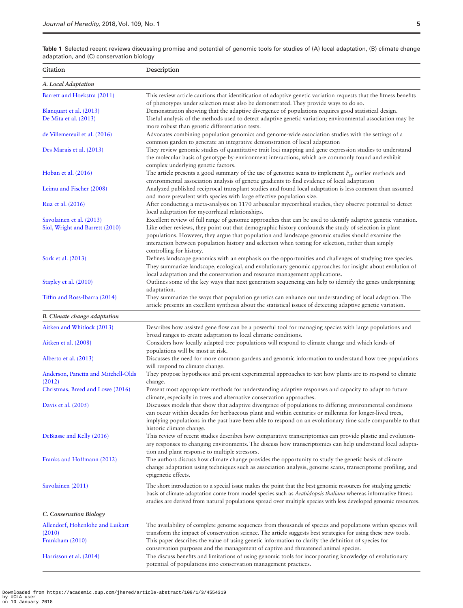*A. Local Adaptation*

**Citation Description**

|                                     | of phenotypes under selection must also be demonstrated. They provide ways to do so.                             |
|-------------------------------------|------------------------------------------------------------------------------------------------------------------|
| Blanquart et al. (2013)             | Demonstration showing that the adaptive divergence of populations requires good statistical design.              |
| De Mita et al. (2013)               | Useful analysis of the methods used to detect adaptive genetic variation; environmental association may be       |
|                                     | more robust than genetic differentiation tests.                                                                  |
| de Villemereuil et al. (2016)       | Advocates combining population genomics and genome-wide association studies with the settings of a               |
|                                     | common garden to generate an integrative demonstration of local adaptation                                       |
| Des Marais et al. (2013)            | They review genomic studies of quantitative trait loci mapping and gene expression studies to understand         |
|                                     | the molecular basis of genotype-by-environment interactions, which are commonly found and exhibit                |
|                                     | complex underlying genetic factors.                                                                              |
| Hoban et al. (2016)                 | The article presents a good summary of the use of genomic scans to implement $F_{ST}$ outlier methods and        |
|                                     | environmental association analysis of genetic gradients to find evidence of local adaptation                     |
| Leimu and Fischer (2008)            |                                                                                                                  |
|                                     | Analyzed published reciprocal transplant studies and found local adaptation is less common than assumed          |
|                                     | and more prevalent with species with large effective population size.                                            |
| Rua et al. (2016)                   | After conducting a meta-analysis on 1170 arbuscular mycorrhizal studies, they observe potential to detect        |
|                                     | local adaptation for mycorrhizal relationships.                                                                  |
| Savolainen et al. (2013)            | Excellent review of full range of genomic approaches that can be used to identify adaptive genetic variation.    |
| Siol, Wright and Barrett (2010)     | Like other reviews, they point out that demographic history confounds the study of selection in plant            |
|                                     | populations. However, they argue that population and landscape genomic studies should examine the                |
|                                     | interaction between population history and selection when testing for selection, rather than simply              |
|                                     | controlling for history.                                                                                         |
| Sork et al. (2013)                  | Defines landscape genomics with an emphasis on the opportunities and challenges of studying tree species.        |
|                                     | They summarize landscape, ecological, and evolutionary genomic approaches for insight about evolution of         |
|                                     | local adaptation and the conservation and resource management applications.                                      |
| Stapley et al. (2010)               | Outlines some of the key ways that next generation sequencing can help to identify the genes underpinning        |
|                                     | adaptation.                                                                                                      |
| Tiffin and Ross-Ibarra (2014)       | They summarize the ways that population genetics can enhance our understanding of local adaption. The            |
|                                     | article presents an excellent synthesis about the statistical issues of detecting adaptive genetic variation.    |
|                                     |                                                                                                                  |
| B. Climate change adaptation        |                                                                                                                  |
| Aitken and Whitlock (2013)          | Describes how assisted gene flow can be a powerful tool for managing species with large populations and          |
|                                     | broad ranges to create adaptation to local climatic conditions.                                                  |
| Aitken et al. (2008)                | Considers how locally adapted tree populations will respond to climate change and which kinds of                 |
|                                     | populations will be most at risk.                                                                                |
| Alberto et al. (2013)               | Discusses the need for more common gardens and genomic information to understand how tree populations            |
|                                     | will respond to climate change.                                                                                  |
| Anderson, Panetta and Mitchell-Olds | They propose hypotheses and present experimental approaches to test how plants are to respond to climate         |
| (2012)                              | change.                                                                                                          |
| Christmas, Breed and Lowe (2016)    | Present most appropriate methods for understanding adaptive responses and capacity to adapt to future            |
|                                     | climate, especially in trees and alternative conservation approaches.                                            |
|                                     |                                                                                                                  |
| Davis et al. (2005)                 | Discusses models that show that adaptive divergence of populations to differing environmental conditions         |
|                                     | can occur within decades for herbaceous plant and within centuries or millennia for longer-lived trees,          |
|                                     | implying populations in the past have been able to respond on an evolutionary time scale comparable to that      |
|                                     | historic climate change.                                                                                         |
| DeBiasse and Kelly (2016)           | This review of recent studies describes how comparative transcriptomics can provide plastic and evolution-       |
|                                     | ary responses to changing environments. The discuss how transcriptomics can help understand local adapta-        |
|                                     | tion and plant response to multiple stressors.                                                                   |
| Franks and Hoffmann (2012)          | The authors discuss how climate change provides the opportunity to study the genetic basis of climate            |
|                                     | change adaptation using techniques such as association analysis, genome scans, transcriptome profiling, and      |
|                                     | epigenetic effects.                                                                                              |
| Savolainen (2011)                   | The short introduction to a special issue makes the point that the best genomic resources for studying genetic   |
|                                     | basis of climate adaptation come from model species such as Arabidopsis thaliana whereas informative fitness     |
|                                     | studies are derived from natural populations spread over multiple species with less developed genomic resources. |
|                                     |                                                                                                                  |
| C. Conservation Biology             |                                                                                                                  |
| Allendorf, Hohenlohe and Luikart    | The availability of complete genome sequences from thousands of species and populations within species will      |
| (2010)                              | transform the impact of conservation science. The article suggests best strategies for using these new tools.    |
| Frankham (2010)                     | This paper describes the value of using genetic information to clarify the definition of species for             |
|                                     |                                                                                                                  |

conservation purposes and the management of captive and threatened animal species.

[Harrisson et al. \(2014\)](#page-11-21) The discuss benefits and limitations of using genomic tools for incorporating knowledge of evolutionary potential of populations into conservation management practices.

<span id="page-2-0"></span>**Table 1** Selected recent reviews discussing promise and potential of genomic tools for studies of (A) local adaptation, (B) climate change adaptation, and (C) conservation biology

[Barrett and Hoekstra \(2011\)](#page-11-11) This review article cautions that identification of adaptive genetic variation requests that the fitness benefits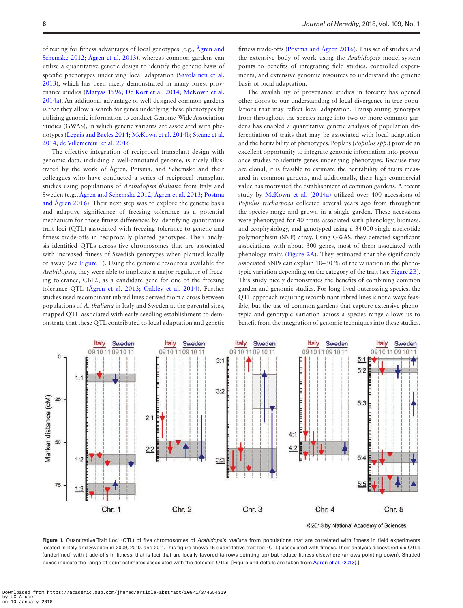of testing for fitness advantages of local genotypes (e.g., [Ågren and](#page-10-3)  [Schemske 2012;](#page-10-3) [Ågren et al. 2013](#page-10-4)), whereas common gardens can utilize a quantitative genetic design to identify the genetic basis of specific phenotypes underlying local adaptation ([Savolainen et al.](#page-12-4)  [2013](#page-12-4)), which has been nicely demonstrated in many forest provenance studies [\(Matyas 1996;](#page-12-0) [De Kort et al. 2014](#page-11-22); [McKown et al.](#page-12-11)  [2014a](#page-12-11)). An additional advantage of well-designed common gardens is that they allow a search for genes underlying these phenotypes by utilizing genomic information to conduct Genome-Wide Association Studies (GWAS), in which genetic variants are associated with phenotypes ([Lepais and Bacles 2014;](#page-12-12) [McKown et al. 2014b](#page-12-13); [Steane et al.](#page-12-14)  [2014](#page-12-14); [de Villemereuil et al. 2016](#page-11-1)).

The effective integration of reciprocal transplant design with genomic data, including a well-annotated genome, is nicely illustrated by the work of Ågren, Potsma, and Schemske and their colleagues who have conducted a series of reciprocal transplant studies using populations of *Arabidopsis thaliana* from Italy and Sweden (e.g., [Ågren and Schemske 2012;](#page-10-3) [Ågren et al. 2013;](#page-10-4) [Postma](#page-12-15)  [and Ågren 2016](#page-12-15)). Their next step was to explore the genetic basis and adaptive significance of freezing tolerance as a potential mechanism for those fitness differences by identifying quantitative trait loci (QTL) associated with freezing tolerance to genetic and fitness trade-offs in reciprocally planted genotypes. Their analysis identified QTLs across five chromosomes that are associated with increased fitness of Swedish genotypes when planted locally or away (see [Figure 1](#page-3-0)). Using the genomic resources available for *Arabidopsis*, they were able to implicate a major regulator of freezing tolerance, CBF2, as a candidate gene for one of the freezing tolerance QTL ([Ågren et al. 2013](#page-10-4); [Oakley et al. 2014](#page-12-16)). Further studies used recombinant inbred lines derived from a cross between populations of *A. thaliana* in Italy and Sweden at the parental sites, mapped QTL associated with early seedling establishment to demonstrate that these QTL contributed to local adaptation and genetic

fitness trade-offs ([Postma and Ågren 2016](#page-12-15)). This set of studies and the extensive body of work using the *Arabidopsis* model-system points to benefits of integrating field studies, controlled experiments, and extensive genomic resources to understand the genetic basis of local adaptation.

The availability of provenance studies in forestry has opened other doors to our understanding of local divergence in tree populations that may reflect local adaptation. Transplanting genotypes from throughout the species range into two or more common gardens has enabled a quantitative genetic analysis of population differentiation of traits that may be associated with local adaptation and the heritability of phenotypes. Poplars (*Populus spp.*) provide an excellent opportunity to integrate genomic information into provenance studies to identify genes underlying phenotypes. Because they are clonal, it is feasible to estimate the heritability of traits measured in common gardens, and additionally, their high commercial value has motivated the establishment of common gardens. A recent study by [McKown et al. \(2014a\)](#page-12-11) utilized over 400 accessions of *Populus tricharpoca* collected several years ago from throughout the species range and grown in a single garden. These accessions were phenotyped for 40 traits associated with phenology, biomass, and ecophysiology, and genotyped using a 34000-single nucleotide polymorphism (SNP) array. Using GWAS, they detected significant associations with about 300 genes, most of them associated with phenology traits [\(Figure 2A\)](#page-4-0). They estimated that the significantly associated SNPs can explain 10–30 % of the variation in the phenotypic variation depending on the category of the trait (see [Figure 2B](#page-4-0)). This study nicely demonstrates the benefits of combining common garden and genomic studies. For long-lived outcrossing species, the QTL approach requiring recombinant inbred lines is not always feasible, but the use of common gardens that capture extensive phenotypic and genotypic variation across a species range allows us to benefit from the integration of genomic techniques into these studies.



<span id="page-3-0"></span>**Figure 1.** Quantitative Trait Loci (QTL) of five chromosomes of *Arabidopsis thaliana* from populations that are correlated with fitness in field experiments located in Italy and Sweden in 2009, 2010, and 2011. This figure shows 15 quantitative trait loci (QTL) associated with fitness. Their analysis discovered six QTLs (underlined) with trade-offs in fitness, that is loci that are locally favored (arrows pointing up) but reduce fitness elsewhere (arrows pointing down). Shaded boxes indicate the range of point estimates associated with the detected QTLs. [Figure and details are taken from [Ågren et al. \(2013\)](#page-10-4).]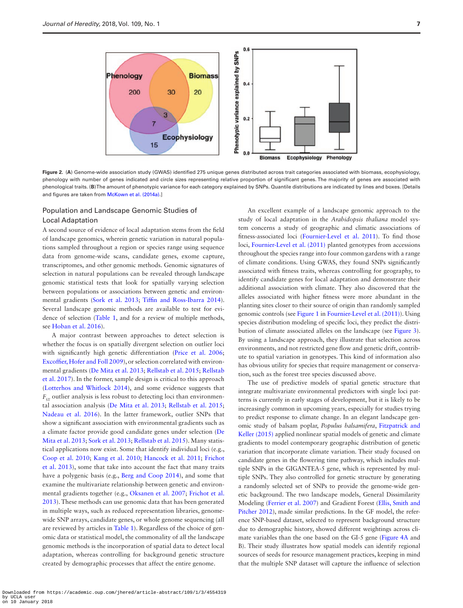

**Figure 2.** (**A**) Genome-wide association study (GWAS) identified 275 unique genes distributed across trait categories associated with biomass, ecophysiology, phenology with number of genes indicated and circle sizes representing relative proportion of significant genes. The majority of genes are associated with phenological traits. (**B**) The amount of phenotypic variance for each category explained by SNPs. Quantile distributions are indicated by lines and boxes. [Details and figures are taken from [McKown et al. \(2014a\)](#page-12-11).]

## Population and Landscape Genomic Studies of Local Adaptation

A second source of evidence of local adaptation stems from the field of landscape genomics, wherein genetic variation in natural populations sampled throughout a region or species range using sequence data from genome-wide scans, candidate genes, exome capture, transcriptomes, and other genomic methods. Genomic signatures of selection in natural populations can be revealed through landscape genomic statistical tests that look for spatially varying selection between populations or associations between genetic and environmental gradients [\(Sork et al. 2013](#page-12-2); [Tiffin and Ross-Ibarra 2014](#page-12-9)). Several landscape genomic methods are available to test for evidence of selection ([Table 1](#page-2-0), and for a review of multiple methods, see [Hoban et al. 2016\)](#page-11-15).

A major contrast between approaches to detect selection is whether the focus is on spatially divergent selection on outlier loci with significantly high genetic differentiation ([Price et al. 2006](#page-12-17); [Excoffier, Hofer and Foll 2009](#page-11-23)), or selection correlated with environmental gradients [\(De Mita et al. 2013;](#page-11-13) [Rellstab et al. 2015](#page-12-18); [Rellstab](#page-12-19)  [et al. 2017](#page-12-19)). In the former, sample design is critical to this approach [\(Lotterhos and Whitlock 2014](#page-12-20)), and some evidence suggests that  $F_{ST}$  outlier analysis is less robust to detecting loci than environmental association analysis ([De Mita et al. 2013;](#page-11-13) [Rellstab et al. 2015](#page-12-18); [Nadeau et al. 2016\)](#page-12-21). In the latter framework, outlier SNPs that show a significant association with environmental gradients such as a climate factor provide good candidate genes under selection ([De](#page-11-13)  [Mita et al. 2013;](#page-11-13) [Sork et al. 2013](#page-12-2); [Rellstab et al. 2015\)](#page-12-18). Many statistical applications now exist. Some that identify individual loci (e.g., [Coop et al. 2010](#page-11-24); [Kang et al. 2010](#page-11-25); [Hancock et al. 2011](#page-11-26); [Frichot](#page-11-27)  [et al. 2013\)](#page-11-27), some that take into account the fact that many traits have a polygenic basis (e.g., [Berg and Coop 2014\)](#page-11-28), and some that examine the multivariate relationship between genetic and environmental gradients together (e.g., [Oksanen et al. 2007](#page-12-22); [Frichot et al.](#page-11-27)  [2013\)](#page-11-27). These methods can use genomic data that has been generated in multiple ways, such as reduced representation libraries, genomewide SNP arrays, candidate genes, or whole genome sequencing (all are reviewed by articles in [Table 1](#page-2-0)). Regardless of the choice of genomic data or statistical model, the commonality of all the landscape genomic methods is the incorporation of spatial data to detect local adaptation, whereas controlling for background genetic structure created by demographic processes that affect the entire genome.

<span id="page-4-0"></span>study of local adaptation in the *Arabidopsis thaliana* model system concerns a study of geographic and climatic associations of fitness-associated loci ([Fournier-Level et al. 2011\)](#page-11-29). To find those loci, [Fournier-Level et al. \(2011\)](#page-11-29) planted genotypes from accessions throughout the species range into four common gardens with a range of climate conditions. Using GWAS, they found SNPs significantly associated with fitness traits, whereas controlling for geography, to identify candidate genes for local adaptation and demonstrate their additional association with climate. They also discovered that the alleles associated with higher fitness were more abundant in the planting sites closer to their source of origin than randomly sampled genomic controls (see [Figure 1](#page-3-0) in [Fournier-Level et al. \(2011\)\)](#page-11-29). Using species distribution modeling of specific loci, they predict the distribution of climate associated alleles on the landscape (see [Figure 3](#page-5-0)). By using a landscape approach, they illustrate that selection across environments, and not restricted gene flow and genetic drift, contribute to spatial variation in genotypes. This kind of information also has obvious utility for species that require management or conservation, such as the forest tree species discussed above.

An excellent example of a landscape genomic approach to the

The use of predictive models of spatial genetic structure that integrate multivariate environmental predictors with single loci patterns is currently in early stages of development, but it is likely to be increasingly common in upcoming years, especially for studies trying to predict response to climate change. In an elegant landscape genomic study of balsam poplar, *Populus balsamifera*, [Fitzpatrick and](#page-11-30)  [Keller \(2015\)](#page-11-30) applied nonlinear spatial models of genetic and climate gradients to model contemporary geographic distribution of genetic variation that incorporate climate variation. Their study focused on candidate genes in the flowering time pathway, which includes multiple SNPs in the GIGANTEA-5 gene, which is represented by multiple SNPs. They also controlled for genetic structure by generating a randomly selected set of SNPs to provide the genome-wide genetic background. The two landscape models, General Dissimilarity Modeling ([Ferrier et al. 2007](#page-11-31)) and Gradient Forest ([Ellis, Smith and](#page-11-32)  [Pitcher 2012\)](#page-11-32), made similar predictions. In the GF model, the reference SNP-based dataset, selected to represent background structure due to demographic history, showed different weightings across climate variables than the one based on the GI-5 gene ([Figure 4A](#page-6-0) and B). Their study illustrates how spatial models can identify regional sources of seeds for resource management practices, keeping in mind that the multiple SNP dataset will capture the influence of selection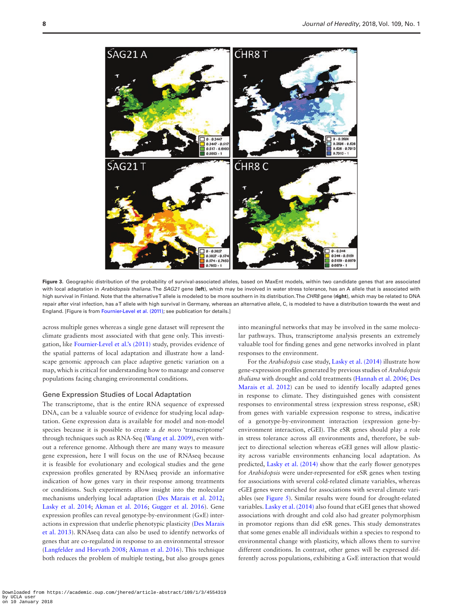

Figure 3. Geographic distribution of the probability of survival-associated alleles, based on MaxEnt models, within two candidate genes that are associated with local adaptation in *Arabidopsis thaliana.* The *SAG21* gene (**left**), which may be involved in water stress tolerance, has an A allele that is associated with high survival in Finland. Note that the alternative T allele is modeled to be more southern in its distribution. The *CHR8* gene (**right**), which may be related to DNA repair after viral infection, has a T allele with high survival in Germany, whereas an alternative allele, C, is modeled to have a distribution towards the west and England. [Figure is from [Fournier-Level et al. \(2011\)](#page-11-29); see publication for details.]

across multiple genes whereas a single gene dataset will represent the climate gradients most associated with that gene only. This investigation, like [Fournier-Level et al.'s \(2011\)](#page-11-29) study, provides evidence of the spatial patterns of local adaptation and illustrate how a landscape genomic approach can place adaptive genetic variation on a map, which is critical for understanding how to manage and conserve populations facing changing environmental conditions.

#### Gene Expression Studies of Local Adaptation

The transcriptome, that is the entire RNA sequence of expressed DNA, can be a valuable source of evidence for studying local adaptation. Gene expression data is available for model and non-model species because it is possible to create a *de novo* 'transcriptome' through techniques such as RNA-Seq ([Wang et al. 2009\)](#page-12-23), even without a reference genome. Although there are many ways to measure gene expression, here I will focus on the use of RNAseq because it is feasible for evolutionary and ecological studies and the gene expression profiles generated by RNAseq provide an informative indication of how genes vary in their response among treatments or conditions. Such experiments allow insight into the molecular mechanisms underlying local adaptation [\(Des Marais et al. 2012](#page-11-33); [Lasky et al. 2014](#page-12-24); [Akman et al. 2016;](#page-10-5) [Gugger et al. 2016\)](#page-11-34). Gene expression profiles can reveal genotype-by-environment (G×E) interactions in expression that underlie phenotypic plasticity [\(Des Marais](#page-11-14)  [et al. 2013\)](#page-11-14). RNAseq data can also be used to identify networks of genes that are co-regulated in response to an environmental stressor [\(Langfelder and Horvath 2008;](#page-11-35) [Akman et al. 2016\)](#page-10-5). This technique both reduces the problem of multiple testing, but also groups genes

<span id="page-5-0"></span>into meaningful networks that may be involved in the same molecular pathways. Thus, transcriptome analysis presents an extremely valuable tool for finding genes and gene networks involved in plant responses to the environment.

For the *Arabidopsis* case study, [Lasky et al. \(2014\)](#page-12-24) illustrate how gene-expression profiles generated by previous studies of *Arabidopsis thaliana* with drought and cold treatments ([Hannah et al. 2006](#page-11-36); [Des](#page-11-33)  Marais et al. 2012) can be used to identify locally adapted genes in response to climate. They distinguished genes with consistent responses to environmental stress (expression stress response, eSR) from genes with variable expression response to stress, indicative of a genotype-by-environment interaction (expression gene-byenvironment interaction, eGEI). The eSR genes should play a role in stress tolerance across all environments and, therefore, be subject to directional selection whereas eGEI genes will allow plasticity across variable environments enhancing local adaptation. As predicted, [Lasky et al. \(2014\)](#page-12-24) show that the early flower genotypes for *Arabidopsis* were under-represented for eSR genes when testing for associations with several cold-related climate variables, whereas eGEI genes were enriched for associations with several climate variables (see [Figure 5\)](#page-7-0). Similar results were found for drought-related variables. [Lasky et al. \(2014\)](#page-12-24) also found that eGEI genes that showed associations with drought and cold also had greater polymorphism in promotor regions than did eSR genes. This study demonstrates that some genes enable all individuals within a species to respond to environmental change with plasticity, which allows them to survive different conditions. In contrast, other genes will be expressed differently across populations, exhibiting a G×E interaction that would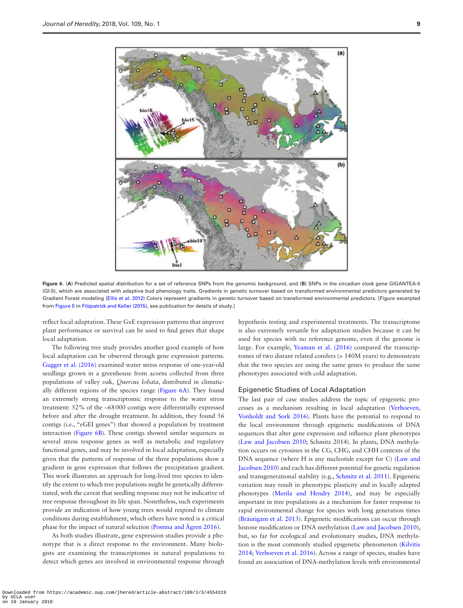

**Figure 4.** (**A**) Predicted spatial distribution for a set of reference SNPs from the genomic background, and (**B**) SNPs in the circadian clock gene GIGANTEA-5 (GI-5), which are associated with adaptive bud phenology traits. Gradients in genetic turnover based on transformed environmental predictors generated by Gradient Forest modeling [\(Ellis et al. 2012](#page-11-32)) Colors represent gradients in genetic turnover based on transformed environmental predictors. [Figure excerpted] from [Figure 5](#page-7-0) in [Fitzpatrick and Keller \(2015\)](#page-11-30), see publication for details of study.]

reflect local adaptation. These G×E expression patterns that improve plant performance or survival can be used to find genes that shape local adaptation.

The following tree study provides another good example of how local adaptation can be observed through gene expression patterns. [Gugger et al. \(2016\)](#page-11-37) examined water stress response of one-year-old seedlings grown in a greenhouse from acorns collected from three populations of valley oak, *Quercus lobata*, distributed in climatically different regions of the species range ([Figure 6A](#page-8-0)). They found an extremely strong transcriptomic response to the water stress treatment: 52% of the ~68000 contigs were differentially expressed before and after the drought treatment. In addition, they found 56 contigs (i.e., "eGEI genes") that showed a population by treatment interaction [\(Figure 6B](#page-8-0)). These contigs showed similar sequences as several stress response genes as well as metabolic and regulatory functional genes, and may be involved in local adaptation, especially given that the patterns of response of the three populations show a gradient in gene expression that follows the precipitation gradient. This work illustrates an approach for long-lived tree species to identify the extent to which tree populations might be genetically differentiated, with the caveat that seedling response may not be indicative of tree response throughout its life span. Nonetheless, such experiments provide an indication of how young trees would respond to climate conditions during establishment, which others have noted is a critical phase for the impact of natural selection ([Postma and Ågren 2016](#page-12-15)).

As both studies illustrate, gene expression studies provide a phenotype that is a direct response to the environment. Many biologists are examining the transcriptomes in natural populations to detect which genes are involved in environmental response through <span id="page-6-0"></span>hypothesis testing and experimental treatments. The transcriptome is also extremely versatile for adaptation studies because it can be used for species with no reference genome, even if the genome is large. For example, [Yeaman et al. \(2016\)](#page-12-25) compared the transcriptomes of two distant related conifers (> 140M years) to demonstrate that the two species are using the same genes to produce the same phenotypes associated with cold adaptation.

#### Epigenetic Studies of Local Adaptation

The last pair of case studies address the topic of epigenetic processes as a mechanism resulting in local adaptation ([Verhoeven,](#page-12-26)  [Vonholdt and Sork 2016\)](#page-12-26). Plants have the potential to respond to the local environment through epigenetic modifications of DNA sequences that alter gene expression and influence plant phenotypes [\(Law and Jacobsen 2010;](#page-12-27) Schmitz 2014). In plants, DNA methylation occurs on cytosines in the CG, CHG, and CHH contexts of the DNA sequence (where H is any nucleotide except for C) [\(Law and](#page-12-27)  [Jacobsen 2010](#page-12-27)) and each has different potential for genetic regulation and transgenerational stability (e.g., [Schmitz et al. 2011](#page-12-28)). Epigenetic variation may result in phenotypic plasticity and in locally adapted phenotypes [\(Merila and Hendry 2014\)](#page-12-5), and may be especially important in tree populations as a mechanism for faster response to rapid environmental change for species with long generation times [\(Bräutigam et al. 2013](#page-11-38)). Epigenetic modifications can occur through histone modification or DNA methylation [\(Law and Jacobsen 2010](#page-12-27)), but, so far for ecological and evolutionary studies, DNA methylation is the most commonly studied epigenetic phenomenon [\(Kilvitis](#page-11-39)  [2014](#page-11-39); [Verhoeven et al. 2016](#page-12-26)). Across a range of species, studies have found an association of DNA-methylation levels with environmental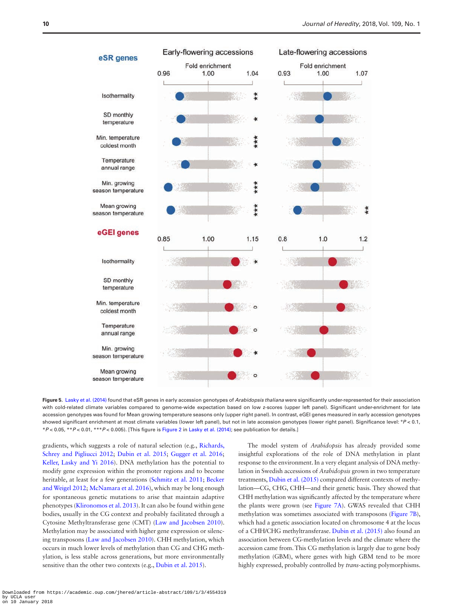

<span id="page-7-0"></span>**Figure 5.** [Lasky et al. \(2014\)](#page-12-24) found that eSR genes in early accession genotypes of *Arabidopsis thaliana* were significantly under-represented for their association with cold-related climate variables compared to genome-wide expectation based on low z-scores (upper left panel). Significant under-enrichment for late accession genotypes was found for Mean growing temperature seasons only (upper right panel). In contrast, eGEI genes measured in early accession genotypes showed significant enrichment at most climate variables (lower left panel), but not in late accession genotypes (lower right panel). Significance level: °*P* < 0.1, \**P* < 0.05, \*\**P* < 0.01, \*\*\**P* < 0.005). [This figure is [Figure 2](#page-4-0) in [Lasky et al. \(2014\)](#page-12-24); see publication for details.]

gradients, which suggests a role of natural selection (e.g., [Richards,](#page-12-29)  [Schrey and Pigliucci 2012;](#page-12-29) [Dubin et al. 2015](#page-11-40); [Gugger et al. 2016](#page-11-34); [Keller, Lasky and Yi 2016](#page-11-41)). DNA methylation has the potential to modify gene expression within the promoter regions and to become heritable, at least for a few generations ([Schmitz et al. 2011;](#page-12-28) [Becker](#page-11-42)  [and Weigel 2012](#page-11-42); [McNamara et al. 2016\)](#page-12-30), which may be long enough for spontaneous genetic mutations to arise that maintain adaptive phenotypes ([Klironomos et al. 2013](#page-11-43)). It can also be found within gene bodies, usually in the CG context and probably facilitated through a Cytosine Methyltransferase gene (CMT) ([Law and Jacobsen 2010](#page-12-27)). Methylation may be associated with higher gene expression or silencing transposons [\(Law and Jacobsen 2010](#page-12-27)). CHH methylation, which occurs in much lower levels of methylation than CG and CHG methylation, is less stable across generations, but more environmentally sensitive than the other two contexts (e.g., [Dubin et al. 2015](#page-11-40)).

The model system of *Arabidopsis* has already provided some insightful explorations of the role of DNA methylation in plant response to the environment. In a very elegant analysis of DNA methylation in Swedish accessions of *Arabidopsis* grown in two temperature treatments, [Dubin et al. \(2015\)](#page-11-40) compared different contexts of methylation—CG, CHG, CHH—and their genetic basis. They showed that CHH methylation was significantly affected by the temperature where the plants were grown (see [Figure 7A\)](#page-8-1). GWAS revealed that CHH methylation was sometimes associated with transposons [\(Figure 7B](#page-8-1)), which had a genetic association located on chromosome 4 at the locus of a CHH/CHG methyltransferase. [Dubin et al. \(2015\)](#page-11-40) also found an association between CG-methylation levels and the climate where the accession came from. This CG methylation is largely due to gene body methylation (GBM), where genes with high GBM tend to be more highly expressed, probably controlled by *trans*-acting polymorphisms.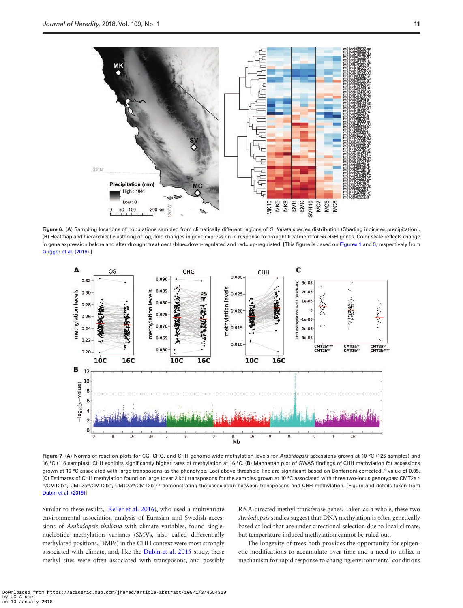$35°N$ 

 $Low: 0$ 50 100

<span id="page-8-0"></span>200 km



 $\overline{R}$ 

**MK10** 

MK5<br>MK6<br>SVH<br>SVG

Figure 6. (A) Sampling locations of populations sampled from climatically different regions of *Q. lobata* species distribution (Shading indicates precipitation). (**B**) Heatmap and hierarchical clustering of log<sub>z</sub>-fold changes in gene expression in response to drought treatment for 56 eGEI genes. Color scale reflects change in gene expression before and after drought treatment (blue=down-regulated and red= up-regulated. [This figure is based on [Figures 1](#page-3-0) and [5,](#page-7-0) respectively from [Gugger et al. \(2016\).](#page-11-34)]



<span id="page-8-1"></span>**Figure 7.** (**A**) Norms of reaction plots for CG, CHG, and CHH genome-wide methylation levels for *Arabidopsis* accessions grown at 10 °C (125 samples) and 16 °C (116 samples); CHH exhibits significantly higher rates of methylation at 16 °C. (**B**) Manhattan plot of GWAS findings of CHH methylation for accessions grown at 10 °C associated with large transposons as the phenotype. Loci above threshold line are significant based on Bonferroni-corrected *P* value of 0.05. (**C**) Estimates of CHH methylation found on large (over 2 kb) transposons for the samples grown at 10 °C associated with three two-locus genotypes: CMT2anr/ nr/CMT2b<sup>rir</sup>, CMT2a<sup>rir</sup>/CMT2b<sup>rir</sup>, CMT2a<sup>rir</sup>/CMT2b<sup>nrinr</sup> demonstrating the association between transposons and CHH methylation. [Figure and details taken from [Dubin et al. \(2015\)\]](#page-11-40)

Similar to these results, [\(Keller et al. 2016\)](#page-11-41), who used a multivariate environmental association analysis of Eurasian and Swedish accessions of *Arabidopsis thaliana* with climate variables, found singlenucleotide methylation variants (SMVs, also called differentially methylated positions, DMPs) in the CHH context were most strongly associated with climate, and, like the [Dubin et al. 2015](#page-11-40) study, these methyl sites were often associated with transposons, and possibly

RNA-directed methyl transferase genes. Taken as a whole, these two *Arabidopsis* studies suggest that DNA methylation is often genetically based at loci that are under directional selection due to local climate, but temperature-induced methylation cannot be ruled out.

MC7

SVH<sub>15</sub>

The longevity of trees both provides the opportunity for epigenetic modifications to accumulate over time and a need to utilize a mechanism for rapid response to changing environmental conditions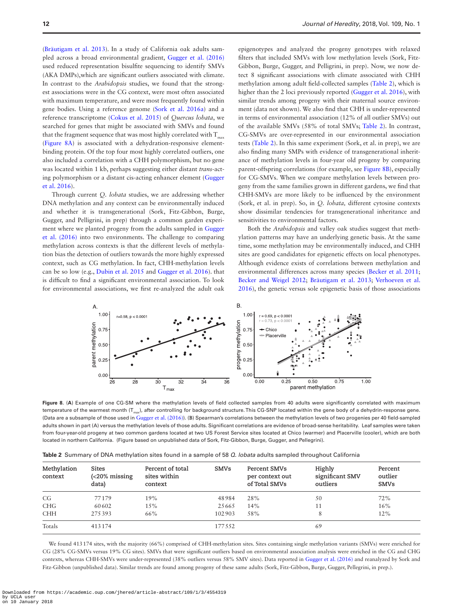[\(Bräutigam et al. 2013](#page-11-38)). In a study of California oak adults sampled across a broad environmental gradient, [Gugger et al. \(2016\)](#page-11-34) used reduced representation bisulfite sequencing to identify SMVs (AKA DMPs),which are significant outliers associated with climate. In contrast to the *Arabidopsis* studies, we found that the strongest associations were in the CG context, were most often associated with maximum temperature, and were most frequently found within gene bodies. Using a reference genome [\(Sork et al. 2016a](#page-12-31)) and a reference transcriptome [\(Cokus et al. 2015\)](#page-11-44) of *Quercus lobata*, we searched for genes that might be associated with SMVs and found that the fragment sequence that was most highly correlated with  $T_{\text{max}}$ [\(Figure 8A](#page-9-0)) is associated with a dehydration-responsive elementbinding protein. Of the top four most highly correlated outliers, one also included a correlation with a CHH polymorphism, but no gene was located within 1 kb, perhaps suggesting either distant *trans*-acting polymorphism or a distant cis-acting enhancer element [\(Gugger](#page-11-34)  [et al. 2016](#page-11-34)).

Through current *Q. lobata* studies, we are addressing whether DNA methylation and any context can be environmentally induced and whether it is transgenerational (Sork, Fitz-Gibbon, Burge, Gugger, and Pelligrini, in prep) through a common garden experiment where we planted progeny from the adults sampled in [Gugger](#page-11-34)  [et al. \(2016\)](#page-11-34) into two environments. The challenge to comparing methylation across contexts is that the different levels of methylation bias the detection of outliers towards the more highly expressed context, such as CG methylation. In fact, CHH-methylation levels can be so low (e.g., [Dubin et al. 2015](#page-11-40) and [Gugger et al. 2016\)](#page-11-34). that is difficult to find a significant environmental association. To look for environmental associations, we first re-analyzed the adult oak

epigenotypes and analyzed the progeny genotypes with relaxed filters that included SMVs with low methylation levels (Sork, Fitz-Gibbon, Burge, Gugger, and Pelligrini, in prep). Now, we now detect 8 significant associations with climate associated with CHH methylation among adult field-collected samples [\(Table 2\)](#page-9-1), which is higher than the 2 loci previously reported [\(Gugger et al. 2016](#page-11-34)), with similar trends among progeny with their maternal source environment (data not shown). We also find that CHH is under-represented in terms of environmental association (12% of all outlier SMVs) out of the available SMVs (58% of total SMVs; [Table 2\)](#page-9-1). In contrast, CG-SMVs are over-represented in our environmental association tests ([Table 2](#page-9-1)). In this same experiment (Sork, et al. in prep), we are also finding many SMPs with evidence of transgenerational inheritance of methylation levels in four-year old progeny by comparing parent-offspring correlations (for example, see [Figure 8B](#page-9-0)), especially for CG-SMVs. When we compare methylation levels between progeny from the same families grown in different gardens, we find that CHH-SMVs are more likely to be influenced by the environment (Sork, et al. in prep). So, in *Q. lobata,* different cytosine contexts show dissimilar tendencies for transgenerational inheritance and sensitivities to environmental factors.

Both the *Arabidopsis* and valley oak studies suggest that methylation patterns may have an underlying genetic basis. At the same time, some methylation may be environmentally induced, and CHH sites are good candidates for epigenetic effects on local phenotypes. Although evidence exists of correlations between methylation and environmental differences across many species [\(Becker et al. 2011](#page-11-45); [Becker and Weigel 2012](#page-11-42); [Bräutigam et al. 2013;](#page-11-38) [Verhoeven et al.](#page-12-26)  [2016](#page-12-26)), the genetic versus sole epigenetic basis of those associations



<span id="page-9-0"></span>Figure 8. (A) Example of one CG-SM where the methylation levels of field collected samples from 40 adults were significantly correlated with maximum temperature of the warmest month  $(T<sub>max</sub>)$ , after controlling for background structure. This CG-SNP located within the gene body of a dehydrin-response gene. (Data are a subsample of those used in [Gugger et al. \(2016\)](#page-11-34)). (**B**) Spearman's correlations between the methylation levels of two progenies per 40 field-sampled adults shown in part (A) versus the methylation levels of those adults. Significant correlations are evidence of broad-sense heritability. Leaf samples were taken from four-year-old progeny at two common gardens located at two US Forest Service sites located at Chico (warmer) and Placerville (cooler), which are both located in northern California. (Figure based on unpublished data of Sork, Fitz-Gibbon, Burge, Gugger, and Pellegrini).

<span id="page-9-1"></span>

|  |  |  |  |  |  |  | <b>Table 2</b> Summary of DNA methylation sites found in a sample of 58 Q. lobata adults sampled throughout California |
|--|--|--|--|--|--|--|------------------------------------------------------------------------------------------------------------------------|
|--|--|--|--|--|--|--|------------------------------------------------------------------------------------------------------------------------|

| Methylation<br>context | <b>Sites</b><br>$\left( <20\% \right)$ missing<br>data) | Percent of total<br>sites within<br>context | <b>SMVs</b> | Percent SMVs<br>per context out<br>of Total SMVs | Highly<br>significant SMV<br>outliers | Percent<br>outlier<br><b>SMVs</b> |
|------------------------|---------------------------------------------------------|---------------------------------------------|-------------|--------------------------------------------------|---------------------------------------|-----------------------------------|
| CG                     | 77179                                                   | 19%                                         | 48984       | 28%                                              | 50                                    | 72%                               |
| <b>CHG</b>             | 60602                                                   | 15%                                         | 25665       | 14%                                              | 11                                    | 16%                               |
| <b>CHH</b>             | 275393                                                  | 66%                                         | 102903      | 58%                                              |                                       | 12%                               |
| Totals                 | 413174                                                  |                                             | 177552      |                                                  | 69                                    |                                   |

We found 413174 sites, with the majority (66%) comprised of CHH-methylation sites. Sites containing single methylation variants (SMVs) were enriched for CG (28% CG-SMVs versus 19% CG sites). SMVs that were significant outliers based on environmental association analysis were enriched in the CG and CHG contexts, whereas CHH-SMVs were under-represented (38% outliers versus 58% SMV sites). Data reported in [Gugger et al. \(2016\)](#page-11-34) and reanalyzed by Sork and Fitz-Gibbon (unpublished data). Similar trends are found among progeny of these same adults (Sork, Fitz-Gibbon, Burge, Gugger, Pellegrini, in prep.).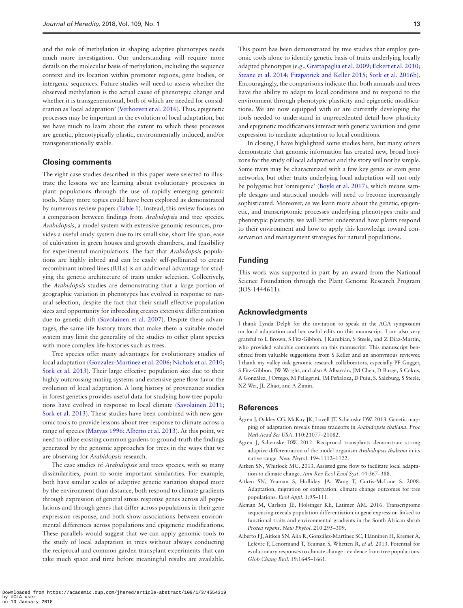and the role of methylation in shaping adaptive phenotypes needs much more investigation. Our understanding will require more details on the molecular basis of methylation, including the sequence context and its location within promoter regions, gene bodies, or intergenic sequences. Future studies will need to assess whether the observed methylation is the actual cause of phenotypic change and whether it is transgenerational, both of which are needed for consideration as 'local adaptation' ([Verhoeven et al. 2016](#page-12-26)). Thus, epigenetic processes may be important in the evolution of local adaptation, but we have much to learn about the extent to which these processes are genetic, phenotypically plastic, environmentally induced, and/or transgenerationally stable.

#### **Closing comments**

The eight case studies described in this paper were selected to illustrate the lessons we are learning about evolutionary processes in plant populations through the use of rapidly emerging genomic tools. Many more topics could have been explored as demonstrated by numerous review papers [\(Table 1](#page-2-0)). Instead, this review focuses on a comparison between findings from *Arabidopsis* and tree species. *Arabidopsis*, a model system with extensive genomic resources, provides a useful study system due to its small size, short life span, ease of cultivation in green houses and growth chambers, and feasibility for experimental manipulations. The fact that *Arabidopsis* populations are highly inbred and can be easily self-pollinated to create recombinant inbred lines (RILs) is an additional advantage for studying the genetic architecture of traits under selection. Collectively, the *Arabidopsis* studies are demonstrating that a large portion of geographic variation in phenotypes has evolved in response to natural selection, despite the fact that their small effective population sizes and opportunity for inbreeding creates extensive differentiation due to genetic drift ([Savolainen et al. 2007\)](#page-12-1). Despite these advantages, the same life history traits that make them a suitable model system may limit the generality of the studies to other plant species with more complex life-histories such as trees.

Tree species offer many advantages for evolutionary studies of local adaptation ([Gonzalez-Martinez et al. 2006](#page-11-9); [Nichols et al. 2010](#page-12-32); [Sork et al. 2013](#page-12-2)). Their large effective population size due to their highly outcrossing mating systems and extensive gene flow favor the evolution of local adaptation. A long history of provenance studies in forest genetics provides useful data for studying how tree populations have evolved in response to local climate ([Savolainen 2011](#page-12-10); [Sork et al. 2013](#page-12-2)). These studies have been combined with new genomic tools to provide lessons about tree response to climate across a range of species ([Matyas 1996](#page-12-0); [Alberto et al. 2013\)](#page-10-2). At this point, we need to utilize existing common gardens to ground-truth the findings generated by the genomic approaches for trees in the ways that we are observing for *Arabidopsis* research.

The case studies of *Arabidopsis* and trees species, with so many dissimilarities, point to some important similarities. For example, both have similar scales of adaptive genetic variation shaped more by the environment than distance, both respond to climate gradients through expression of general stress response genes across all populations and through genes that differ across populations in their gene expression response, and both show associations between environmental differences across populations and epigenetic modifications. These parallels would suggest that we can apply genomic tools to the study of local adaptation in trees without always conducting the reciprocal and common garden transplant experiments that can take much space and time before meaningful results are available.

This point has been demonstrated by tree studies that employ genomic tools alone to identify genetic basis of traits underlying locally adapted phenotypes (e.g., [Grattapaglia et al. 2009](#page-11-3); [Eckert et al. 2010](#page-11-46); [Steane et al. 2014](#page-12-14); [Fitzpatrick and Keller 2015](#page-11-30); [Sork et al. 2016b](#page-12-33)). Encouragingly, the comparisons indicate that both annuals and trees have the ability to adapt to local conditions and to respond to the environment through phenotypic plasticity and epigenetic modifications. We are now equipped with or are currently developing the tools needed to understand in unprecedented detail how plasticity and epigenetic modifications interact with genetic variation and gene expression to mediate adaptation to local conditions.

In closing, I have highlighted some studies here, but many others demonstrate that genomic information has created new, broad horizons for the study of local adaptation and the story will not be simple. Some traits may be characterized with a few key genes or even gene networks, but other traits underlying local adaptation will not only be polygenic but 'omnigenic' ([Boyle et al. 2017\)](#page-11-47), which means sample designs and statistical models will need to become increasingly sophisticated. Moreover, as we learn more about the genetic, epigenetic, and transcriptomic processes underlying phenotypes traits and phenotypic plasticity, we will better understand how plants respond to their environment and how to apply this knowledge toward conservation and management strategies for natural populations.

### **Funding**

This work was supported in part by an award from the National Science Foundation through the Plant Genome Research Program (IOS-1444611).

#### **Acknowledgments**

I thank Lynda Delph for the invitation to speak at the AGA symposium on local adaptation and her useful edits on this manuscript. I am also very grateful to L Brown, S Fitz-Gibbon, J Karubian, S Steele, and Z Diaz-Martin, who provided valuable comments on this manuscript. This manuscript benefitted from valuable suggestions from S Keller and an anonymous reviewer. I thank my valley oak genomic research collaborators, especially PF Gugger, S Fitz-Gibbon, JW Wright, and also A Albarrán, JM Chen, D Burge, S Cokus, A González, J Ortego, M Pellegrini, JM Peñaloza, D Puiu, S. Salzburg, S Steele, XZ Wei, JL Zhao, and A Zimin.

#### **References**

- <span id="page-10-4"></span>Ågren J, Oakley CG, McKay JK, Lovell JT, Schemske DW. 2013. Genetic mapping of adaptation reveals fitness tradeoffs in *Arabidopsis thaliana*. *Proc Natl Acad Sci USA*. 110:21077–21082.
- <span id="page-10-3"></span>Agren J, Schemske DW. 2012. Reciprocal transplants demonstrate strong adaptive differentiation of the model organism *Arabidopsis thaliana* in its native range. *New Phytol*. 194:1112–1122.
- <span id="page-10-1"></span>Aitken SN, Whitlock MC. 2013. Assisted gene flow to facilitate local adaptation to climate change. *Ann Rev Ecol Evol Syst*. 44:367–388.
- <span id="page-10-0"></span>Aitken SN, Yeaman S, Holliday JA, Wang T, Curtis-McLane S. 2008. Adaptation, migration or extirpation: climate change outcomes for tree populations. *Evol Appl*. 1:95–111.
- <span id="page-10-5"></span>Akman M, Carlson JE, Holsinger KE, Latimer AM. 2016. Transcriptome sequencing reveals population differentiation in gene expression linked to functional traits and environmental gradients in the South African shrub *Protea repens*. *New Phytol*. 210:295–309.
- <span id="page-10-2"></span>Alberto FJ, Aitken SN, Alía R, González-Martínez SC, Hänninen H, Kremer A, Lefèvre F, Lenormand T, Yeaman S, Whetten R, *et al.* 2013. Potential for evolutionary responses to climate change - evidence from tree populations. *Glob Chang Biol*. 19:1645–1661.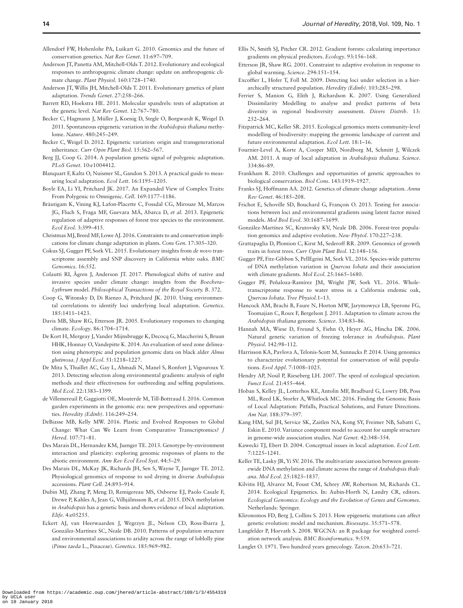- <span id="page-11-19"></span>Allendorf FW, Hohenlohe PA, Luikart G. 2010. Genomics and the future of conservation genetics. *Nat Rev Genet*. 11:697–709.
- <span id="page-11-16"></span>Anderson JT, Panetta AM, Mitchell-Olds T. 2012. Evolutionary and ecological responses to anthropogenic climate change: update on anthropogenic climate change. *Plant Physiol*. 160:1728–1740.
- <span id="page-11-4"></span>Anderson JT, Willis JH, Mitchell-Olds T. 2011. Evolutionary genetics of plant adaptation. *Trends Genet*. 27:258–266.
- <span id="page-11-11"></span>Barrett RD, Hoekstra HE. 2011. Molecular spandrels: tests of adaptation at the genetic level. *Nat Rev Genet*. 12:767–780.
- <span id="page-11-45"></span>Becker C, Hagmann J, Müller J, Koenig D, Stegle O, Borgwardt K, Weigel D. 2011. Spontaneous epigenetic variation in the *Arabidopsis thaliana* methylome. *Nature*. 480:245–249.
- <span id="page-11-42"></span>Becker C, Weigel D. 2012. Epigenetic variation: origin and transgenerational inheritance. *Curr Opin Plant Biol*. 15:562–567.
- <span id="page-11-28"></span>Berg JJ, Coop G. 2014. A population genetic signal of polygenic adaptation. *PLoS Genet*. 10:e1004412.
- <span id="page-11-12"></span>Blanquart F, Kaltz O, Nuismer SL, Gandon S. 2013. A practical guide to measuring local adaptation. *Ecol Lett*. 16:1195–1205.
- <span id="page-11-47"></span>Boyle EA, Li YI, Pritchard JK. 2017. An Expanded View of Complex Traits: From Polygenic to Omnigenic. *Cell*. 169:1177–1186.
- <span id="page-11-38"></span>Bräutigam K, Vining KJ, Lafon-Placette C, Fossdal CG, Mirouze M, Marcos JG, Fluch S, Fraga MF, Guevara MÁ, Abarca D, *et al.* 2013. Epigenetic regulation of adaptive responses of forest tree species to the environment. *Ecol Evol*. 3:399–415.
- <span id="page-11-17"></span>Christmas MJ, Breed MF, Lowe AJ. 2016. Constraints to and conservation implications for climate change adaptation in plants. *Cons Gen*. 17:305–320.
- <span id="page-11-44"></span>Cokus SJ, Gugger PF, Sork VL. 2015. Evolutionary insights from *de novo* transcriptome assembly and SNP discovery in California white oaks. *BMC Genomics*. 16:552.

<span id="page-11-8"></span>Colautti RI, Ågren J, Anderson JT. 2017. Phenological shifts of native and invasive species under climate change: insights from the *Boechera– Lythrum* model. *Philosophical Transactions of the Royal Society. B*. 372.

- <span id="page-11-24"></span>Coop G, Witonsky D, Di Rienzo A, Pritchard JK. 2010. Using environmental correlations to identify loci underlying local adaptation. *Genetics*. 185:1411–1423.
- <span id="page-11-7"></span>Davis MB, Shaw RG, Etterson JR. 2005. Evolutionary responses to changing climate. *Ecology*. 86:1704–1714.
- <span id="page-11-22"></span>De Kort H, Mergeay J, Vander Mijnsbrugge K, Decocq G, Maccherini S, Bruun HHK, Honnay O, Vandepitte K. 2014. An evaluation of seed zone delineation using phenotypic and population genomic data on black alder *Alnus glutinosa*. *J Appl Ecol*. 51:1218–1227.
- <span id="page-11-13"></span>De Mita S, Thuillet AC, Gay L, Ahmadi N, Manel S, Ronfort J, Vigouroux Y. 2013. Detecting selection along environmental gradients: analysis of eight methods and their effectiveness for outbreeding and selfing populations. *Mol Ecol*. 22:1383–1399.
- <span id="page-11-1"></span>de Villemereuil P, Gaggiotti OE, Mouterde M, Till-Bottraud I. 2016. Common garden experiments in the genomic era: new perspectives and opportunities. *Heredity (Edinb)*. 116:249–254.
- <span id="page-11-18"></span>DeBiasse MB, Kelly MW. 2016. Plastic and Evolved Responses to Global Change: What Can We Learn from Comparative Transcriptomics? *J Hered*. 107:71–81.
- <span id="page-11-14"></span>Des Marais DL, Hernandez KM, Juenger TE. 2013. Genotype-by-environment interaction and plasticity: exploring genomic responses of plants to the abiotic environment. *Ann Rev Ecol Evol Syst*. 44:5–29.
- <span id="page-11-33"></span>Des Marais DL, McKay JK, Richards JH, Sen S, Wayne T, Juenger TE. 2012. Physiological genomics of response to soil drying in diverse *Arabidopsis* accessions. *Plant Cell*. 24:893–914.
- <span id="page-11-40"></span>Dubin MJ, Zhang P, Meng D, Remigereau MS, Osborne EJ, Paolo Casale F, Drewe P, Kahles A, Jean G, Vilhjálmsson B, *et al.* 2015. DNA methylation in *Arabidopsis* has a genetic basis and shows evidence of local adaptation. *Elife*. 4:e05255.
- <span id="page-11-46"></span>Eckert AJ, van Heerwaarden J, Wegrzyn JL, Nelson CD, Ross-Ibarra J, González-Martínez SC, Neale DB. 2010. Patterns of population structure and environmental associations to aridity across the range of loblolly pine (*Pinus taeda* L., Pinaceae). *Genetics*. 185:969–982.
- <span id="page-11-32"></span>Ellis N, Smith SJ, Pitcher CR. 2012. Gradient forests: calculating importance gradients on physical predictors. *Ecology*. 93:156–168.
- <span id="page-11-6"></span>Etterson JR, Shaw RG. 2001. Constraint to adaptive evolution in response to global warming. *Science*. 294:151–154.
- <span id="page-11-23"></span>Excoffier L, Hofer T, Foll M. 2009. Detecting loci under selection in a hierarchically structured population. *Heredity (Edinb)*. 103:285–298.
- <span id="page-11-31"></span>Ferrier S, Manion G, Elith J, Richardson K. 2007. Using Generalized Dissimilarity Modelling to analyse and predict patterns of beta diversity in regional biodiversity assessment. *Divers Distrib*. 13: 252–264.
- <span id="page-11-30"></span>Fitzpatrick MC, Keller SR. 2015. Ecological genomics meets community-level modelling of biodiversity: mapping the genomic landscape of current and future environmental adaptation. *Ecol Lett*. 18:1–16.
- <span id="page-11-29"></span>Fournier-Level A, Korte A, Cooper MD, Nordborg M, Schmitt J, Wilczek AM. 2011. A map of local adaptation in *Arabidopsis thaliana*. *Science*. 334:86–89.
- <span id="page-11-20"></span>Frankham R. 2010. Challenges and opportunities of genetic approaches to biological conservation. *Biol Cons*. 143:1919–1927.
- <span id="page-11-5"></span>Franks SJ, Hoffmann AA. 2012. Genetics of climate change adaptation. *Annu Rev Genet*. 46:185–208.
- <span id="page-11-27"></span>Frichot E, Schoville SD, Bouchard G, François O. 2013. Testing for associations between loci and environmental gradients using latent factor mixed models. *Mol Biol Evol*. 30:1687–1699.
- <span id="page-11-9"></span>González-Martínez SC, Krutovsky KV, Neale DB. 2006. Forest-tree population genomics and adaptive evolution. *New Phytol*. 170:227–238.
- <span id="page-11-3"></span>Grattapaglia D, Plomion C, Kirst M, Sederoff RR. 2009. Genomics of growth traits in forest trees. *Curr Opin Plant Biol*. 12:148–156.
- <span id="page-11-34"></span>Gugger PF, Fitz-Gibbon S, PellEgrini M, Sork VL. 2016. Species-wide patterns of DNA methylation variation in *Quercus lobata* and their association with climate gradients. *Mol Ecol*. 25:1665–1680.
- <span id="page-11-37"></span>Gugger PF, Peñaloza-Ramírez JM, Wright JW, Sork VL. 2016. Wholetranscriptome response to water stress in a California endemic oak, *Quercus lobata*. *Tree Physiol*.1–13.
- <span id="page-11-26"></span>Hancock AM, Brachi B, Faure N, Horton MW, Jarymowycz LB, Sperone FG, Toomajian C, Roux F, Bergelson J. 2011. Adaptation to climate across the *Arabidopsis thaliana* genome. *Science*. 334:83–86.
- <span id="page-11-36"></span>Hannah MA, Wiese D, Freund S, Fiehn O, Heyer AG, Hincha DK. 2006. Natural genetic variation of freezing tolerance in *Arabidopsis*. *Plant Physiol*. 142:98–112.
- <span id="page-11-21"></span>Harrisson KA, Pavlova A, Telonis-Scott M, Sunnucks P. 2014. Using genomics to characterize evolutionary potential for conservation of wild populations. *Evol Appl*. 7:1008–1025.
- <span id="page-11-0"></span>Hendry AP, Nosil P, Rieseberg LH. 2007. The speed of ecological speciation. *Funct Ecol*. 21:455–464.
- <span id="page-11-15"></span>Hoban S, Kelley JL, Lotterhos KE, Antolin MF, Bradburd G, Lowry DB, Poss ML, Reed LK, Storfer A, Whitlock MC. 2016. Finding the Genomic Basis of Local Adaptation: Pitfalls, Practical Solutions, and Future Directions. *Am Nat*. 188:379–397.
- <span id="page-11-25"></span>Kang HM, Sul JH, Service SK, Zaitlen NA, Kong SY, Freimer NB, Sabatti C, Eskin E. 2010. Variance component model to account for sample structure in genome-wide association studies. *Nat Genet*. 42:348–354.
- <span id="page-11-10"></span>Kawecki TJ, Ebert D. 2004. Conceptual issues in local adaptation. *Ecol Lett*. 7:1225–1241.
- <span id="page-11-41"></span>Keller TE, Lasky JR, Yi SV. 2016. The multivariate association between genomewide DNA methylation and climate across the range of *Arabidopsis thaliana*. *Mol Ecol*. 25:1823–1837.
- <span id="page-11-39"></span>Kilvitis HJ, Alvarez M, Foust CM, Schrey AW, Robertson M, Richards CL. 2014. Ecological Epigenetics. In: Aubin-Horth N, Landry CR, editors. *Ecological Genomics: Ecology and the Evolution of Genes and Genomes*. Netherlands: Springer.
- <span id="page-11-43"></span>Klironomos FD, Berg J, Collins S. 2013. How epigenetic mutations can affect genetic evolution: model and mechanism. *Bioessays*. 35:571–578.
- <span id="page-11-35"></span>Langfelder P, Horvath S. 2008. WGCNA: an R package for weighted correlation network analysis. *BMC Bioinformatics*. 9:559.
- <span id="page-11-2"></span>Langlet O. 1971. Two hundred years genecology. *Taxon*. 20:653–721.